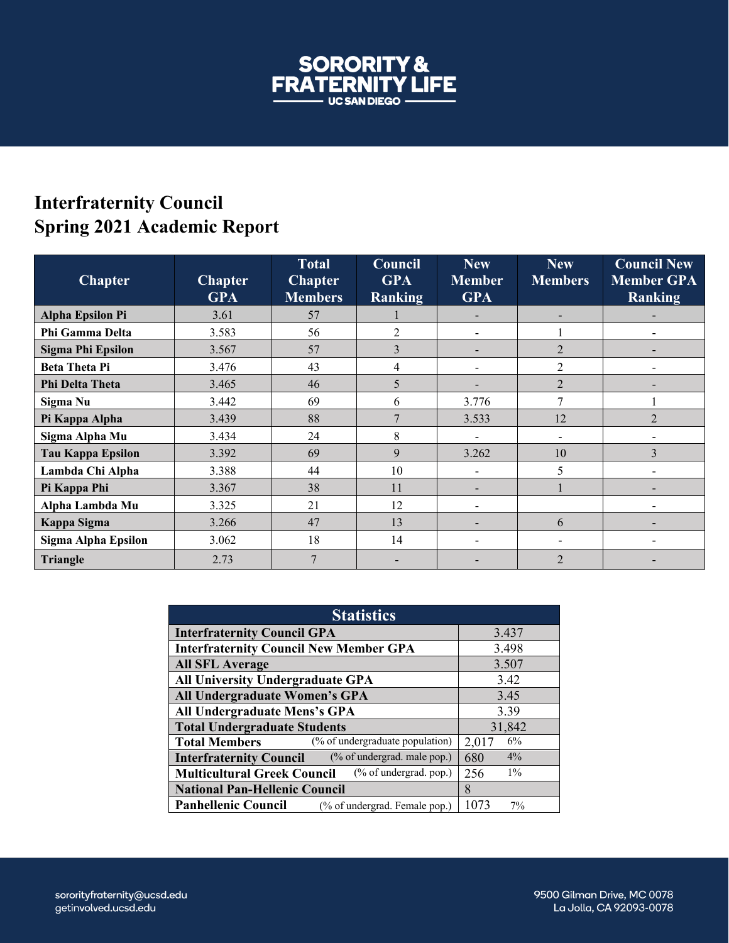

## **Interfraternity Council Spring 2021 Academic Report**

| <b>Chapter</b>           | <b>Chapter</b><br><b>GPA</b> | <b>Total</b><br><b>Chapter</b><br><b>Members</b> | <b>Council</b><br><b>GPA</b><br>Ranking | <b>New</b><br><b>Member</b><br><b>GPA</b> | <b>New</b><br><b>Members</b> | <b>Council New</b><br><b>Member GPA</b><br>Ranking |
|--------------------------|------------------------------|--------------------------------------------------|-----------------------------------------|-------------------------------------------|------------------------------|----------------------------------------------------|
| <b>Alpha Epsilon Pi</b>  | 3.61                         | 57                                               |                                         |                                           |                              |                                                    |
| Phi Gamma Delta          | 3.583                        | 56                                               | 2                                       |                                           |                              |                                                    |
| <b>Sigma Phi Epsilon</b> | 3.567                        | 57                                               | 3                                       |                                           | $\overline{2}$               |                                                    |
| <b>Beta Theta Pi</b>     | 3.476                        | 43                                               | 4                                       |                                           | $\overline{2}$               |                                                    |
| <b>Phi Delta Theta</b>   | 3.465                        | 46                                               | 5                                       |                                           | $\overline{2}$               |                                                    |
| Sigma Nu                 | 3.442                        | 69                                               | 6                                       | 3.776                                     | 7                            |                                                    |
| Pi Kappa Alpha           | 3.439                        | 88                                               | 7                                       | 3.533                                     | 12                           | $\mathfrak{D}$                                     |
| Sigma Alpha Mu           | 3.434                        | 24                                               | 8                                       |                                           | $\overline{\phantom{0}}$     |                                                    |
| <b>Tau Kappa Epsilon</b> | 3.392                        | 69                                               | 9                                       | 3.262                                     | 10                           | 3                                                  |
| Lambda Chi Alpha         | 3.388                        | 44                                               | 10                                      |                                           | 5                            |                                                    |
| Pi Kappa Phi             | 3.367                        | 38                                               | 11                                      |                                           |                              |                                                    |
| Alpha Lambda Mu          | 3.325                        | 21                                               | 12                                      |                                           |                              |                                                    |
| Kappa Sigma              | 3.266                        | 47                                               | 13                                      |                                           | 6                            |                                                    |
| Sigma Alpha Epsilon      | 3.062                        | 18                                               | 14                                      |                                           |                              |                                                    |
| <b>Triangle</b>          | 2.73                         | 7                                                |                                         |                                           | $\overline{2}$               |                                                    |

| <b>Statistics</b>                                               |              |  |  |  |  |
|-----------------------------------------------------------------|--------------|--|--|--|--|
| <b>Interfraternity Council GPA</b>                              | 3.437        |  |  |  |  |
| <b>Interfraternity Council New Member GPA</b>                   | 3.498        |  |  |  |  |
| <b>All SFL Average</b>                                          | 3.507        |  |  |  |  |
| All University Undergraduate GPA                                | 3.42         |  |  |  |  |
| All Undergraduate Women's GPA                                   | 3.45         |  |  |  |  |
| All Undergraduate Mens's GPA                                    | 3.39         |  |  |  |  |
| <b>Total Undergraduate Students</b>                             | 31,842       |  |  |  |  |
| (% of undergraduate population)<br><b>Total Members</b>         | 6%<br>2,017  |  |  |  |  |
| (% of undergrad. male pop.)<br><b>Interfraternity Council</b>   | $4\%$<br>680 |  |  |  |  |
| $(\%$ of undergrad. pop.)<br><b>Multicultural Greek Council</b> | $1\%$<br>256 |  |  |  |  |
| <b>National Pan-Hellenic Council</b>                            | $\mathsf{R}$ |  |  |  |  |
| <b>Panhellenic Council</b><br>(% of undergrad. Female pop.)     | 1073<br>7%   |  |  |  |  |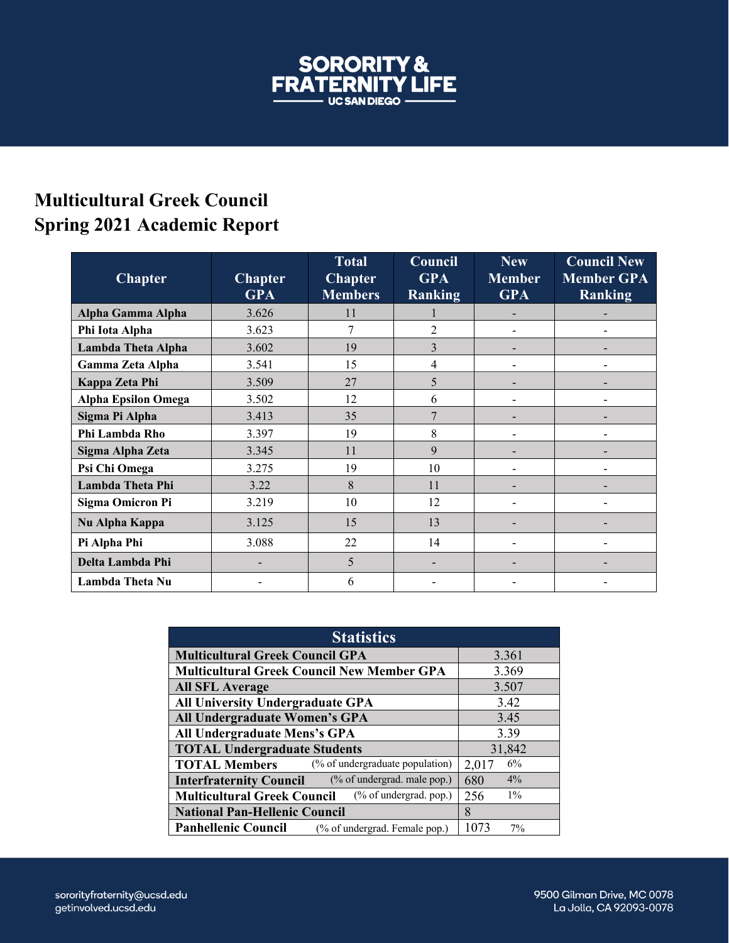

## **Multicultural Greek Council Spring 2021 Academic Report**

| <b>Chapter</b>             | <b>Chapter</b><br><b>GPA</b> | <b>Total</b><br><b>Chapter</b><br><b>Members</b> | Council<br><b>GPA</b><br><b>Ranking</b> | New<br><b>Member</b><br><b>GPA</b> | <b>Council New</b><br><b>Member GPA</b><br><b>Ranking</b> |
|----------------------------|------------------------------|--------------------------------------------------|-----------------------------------------|------------------------------------|-----------------------------------------------------------|
| Alpha Gamma Alpha          | 3.626                        | 11                                               |                                         |                                    |                                                           |
| Phi Iota Alpha             | 3.623                        |                                                  | $\overline{2}$                          |                                    |                                                           |
| Lambda Theta Alpha         | 3.602                        | 19                                               | 3                                       | -                                  |                                                           |
| Gamma Zeta Alpha           | 3.541                        | 15                                               | 4                                       | $\overline{a}$                     |                                                           |
| Kappa Zeta Phi             | 3.509                        | 27                                               | 5                                       |                                    |                                                           |
| <b>Alpha Epsilon Omega</b> | 3.502                        | 12                                               | 6                                       | $\blacksquare$                     |                                                           |
| Sigma Pi Alpha             | 3.413                        | 35                                               | 7                                       | -                                  |                                                           |
| Phi Lambda Rho             | 3.397                        | 19                                               | 8                                       | $\overline{\phantom{a}}$           | $\overline{a}$                                            |
| Sigma Alpha Zeta           | 3.345                        | 11                                               | 9                                       |                                    |                                                           |
| Psi Chi Omega              | 3.275                        | 19                                               | 10                                      |                                    |                                                           |
| Lambda Theta Phi           | 3.22                         | 8                                                | 11                                      |                                    |                                                           |
| <b>Sigma Omicron Pi</b>    | 3.219                        | 10                                               | 12                                      |                                    |                                                           |
| Nu Alpha Kappa             | 3.125                        | 15                                               | 13                                      |                                    |                                                           |
| Pi Alpha Phi               | 3.088                        | 22                                               | 14                                      | -                                  |                                                           |
| Delta Lambda Phi           |                              | 5                                                |                                         |                                    |                                                           |
| Lambda Theta Nu            |                              | 6                                                |                                         |                                    |                                                           |

| <b>Statistics</b>                                               |              |  |  |  |  |
|-----------------------------------------------------------------|--------------|--|--|--|--|
| <b>Multicultural Greek Council GPA</b>                          | 3.361        |  |  |  |  |
| <b>Multicultural Greek Council New Member GPA</b>               | 3.369        |  |  |  |  |
| <b>All SFL Average</b>                                          | 3.507        |  |  |  |  |
| <b>All University Undergraduate GPA</b>                         | 3.42         |  |  |  |  |
| All Undergraduate Women's GPA                                   | 3.45         |  |  |  |  |
| All Undergraduate Mens's GPA                                    | 3.39         |  |  |  |  |
| <b>TOTAL Undergraduate Students</b>                             | 31,842       |  |  |  |  |
| (% of undergraduate population)<br><b>TOTAL Members</b>         | 6%<br>2,017  |  |  |  |  |
| (% of undergrad. male pop.)<br><b>Interfraternity Council</b>   | 4%<br>680    |  |  |  |  |
| $(\%$ of undergrad. pop.)<br><b>Multicultural Greek Council</b> | $1\%$<br>256 |  |  |  |  |
| <b>National Pan-Hellenic Council</b>                            | 8            |  |  |  |  |
| <b>Panhellenic Council</b><br>(% of undergrad. Female pop.)     | 1073<br>7%   |  |  |  |  |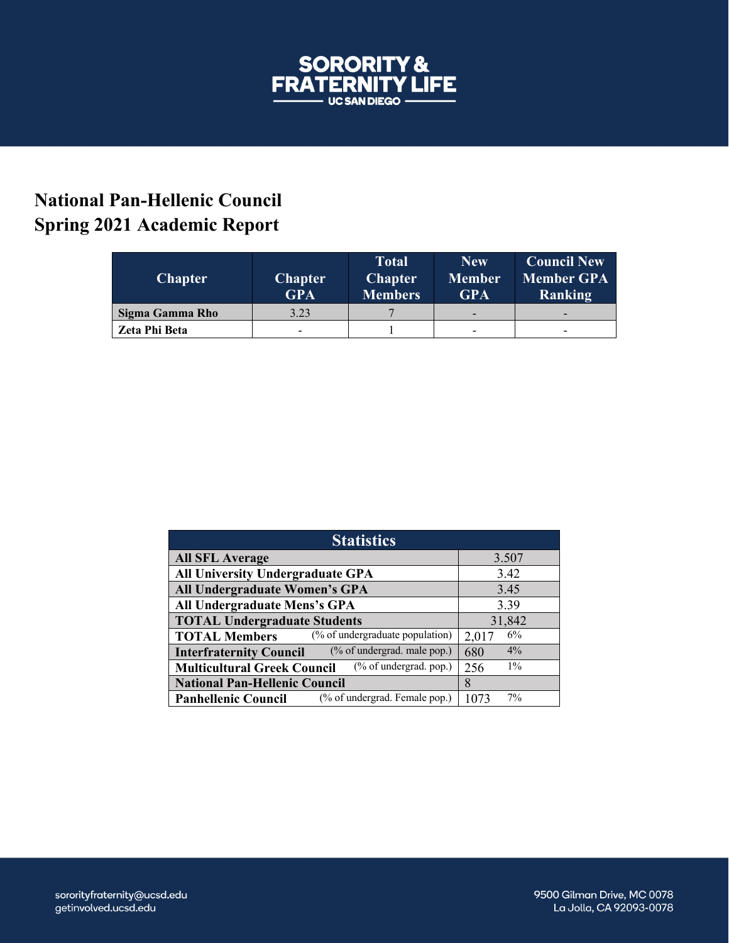

## **National Pan-Hellenic Council Spring 2021 Academic Report**

| <b>Chapter</b>  | <b>Chapter</b><br><b>GPA</b> | <b>Total</b><br><b>Chapter</b><br><b>Members</b> | <b>New</b><br><b>Member</b><br><b>GPA</b> | <b>Council New</b><br><b>Member GPA</b><br><b>Ranking</b> |
|-----------------|------------------------------|--------------------------------------------------|-------------------------------------------|-----------------------------------------------------------|
| Sigma Gamma Rho | 3.23                         |                                                  |                                           | -                                                         |
| Zeta Phi Beta   | -                            |                                                  | -                                         | -                                                         |

| <b>Statistics</b>                                             |              |  |  |  |
|---------------------------------------------------------------|--------------|--|--|--|
| <b>All SFL Average</b>                                        | 3.507        |  |  |  |
| <b>All University Undergraduate GPA</b>                       | 3.42         |  |  |  |
| All Undergraduate Women's GPA                                 | 3.45         |  |  |  |
| All Undergraduate Mens's GPA                                  | 3.39         |  |  |  |
| <b>TOTAL Undergraduate Students</b>                           | 31,842       |  |  |  |
| (% of undergraduate population)<br><b>TOTAL Members</b>       | 6%<br>2,017  |  |  |  |
| (% of undergrad. male pop.)<br><b>Interfraternity Council</b> | $4\%$<br>680 |  |  |  |
| (% of undergrad. pop.)<br><b>Multicultural Greek Council</b>  | $1\%$<br>256 |  |  |  |
| <b>National Pan-Hellenic Council</b>                          | 8            |  |  |  |
| (% of undergrad. Female pop.)<br><b>Panhellenic Council</b>   | 7%<br>1073   |  |  |  |